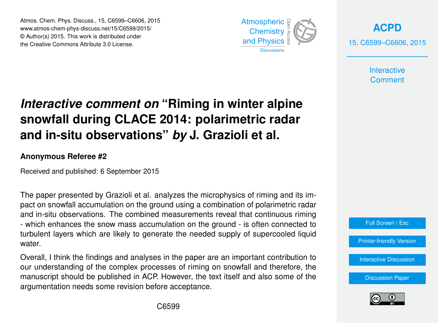Atmos. Chem. Phys. Discuss., 15, C6599–C6606, 2015 www.atmos-chem-phys-discuss.net/15/C6599/2015/ © Author(s) 2015. This work is distributed under the Creative Commons Attribute 3.0 License.



**[ACPD](http://www.atmos-chem-phys-discuss.net)** 15, C6599–C6606, 2015

> **Interactive Comment**

# *Interactive comment on* **"Riming in winter alpine snowfall during CLACE 2014: polarimetric radar and in-situ observations"** *by* **J. Grazioli et al.**

### **Anonymous Referee #2**

Received and published: 6 September 2015

The paper presented by Grazioli et al. analyzes the microphysics of riming and its impact on snowfall accumulation on the ground using a combination of polarimetric radar and in-situ observations. The combined measurements reveal that continuous riming - which enhances the snow mass accumulation on the ground - is often connected to turbulent layers which are likely to generate the needed supply of supercooled liquid water.

Overall, I think the findings and analyses in the paper are an important contribution to our understanding of the complex processes of riming on snowfall and therefore, the manuscript should be published in ACP. However, the text itself and also some of the argumentation needs some revision before acceptance.



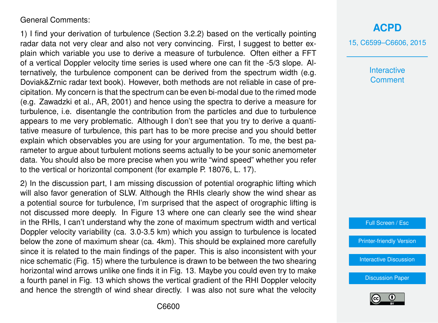### General Comments:

1) I find your derivation of turbulence (Section 3.2.2) based on the vertically pointing radar data not very clear and also not very convincing. First, I suggest to better explain which variable you use to derive a measure of turbulence. Often either a FFT of a vertical Doppler velocity time series is used where one can fit the -5/3 slope. Alternatively, the turbulence component can be derived from the spectrum width (e.g. Doviak&Zrnic radar text book). However, both methods are not reliable in case of precipitation. My concern is that the spectrum can be even bi-modal due to the rimed mode (e.g. Zawadzki et al., AR, 2001) and hence using the spectra to derive a measure for turbulence, i.e. disentangle the contribution from the particles and due to turbulence appears to me very problematic. Although I don't see that you try to derive a quantitative measure of turbulence, this part has to be more precise and you should better explain which observables you are using for your argumentation. To me, the best parameter to argue about turbulent motions seems actually to be your sonic anemometer data. You should also be more precise when you write "wind speed" whether you refer to the vertical or horizontal component (for example P. 18076, L. 17).

2) In the discussion part, I am missing discussion of potential orographic lifting which will also favor generation of SLW. Although the RHIs clearly show the wind shear as a potential source for turbulence, I'm surprised that the aspect of orographic lifting is not discussed more deeply. In Figure 13 where one can clearly see the wind shear in the RHIs, I can't understand why the zone of maximum spectrum width and vertical Doppler velocity variability (ca. 3.0-3.5 km) which you assign to turbulence is located below the zone of maximum shear (ca. 4km). This should be explained more carefully since it is related to the main findings of the paper. This is also inconsistent with your nice schematic (Fig. 15) where the turbulence is drawn to be between the two shearing horizontal wind arrows unlike one finds it in Fig. 13. Maybe you could even try to make a fourth panel in Fig. 13 which shows the vertical gradient of the RHI Doppler velocity and hence the strength of wind shear directly. I was also not sure what the velocity 15, C6599–C6606, 2015

**Interactive Comment** 

Full Screen / Esc

[Printer-friendly Version](http://www.atmos-chem-phys-discuss.net/15/C6599/2015/acpd-15-C6599-2015-print.pdf)

[Interactive Discussion](http://www.atmos-chem-phys-discuss.net/15/18065/2015/acpd-15-18065-2015-discussion.html)

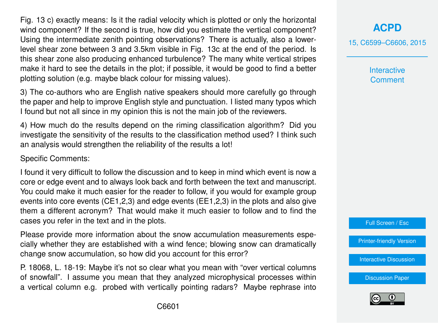Fig. 13 c) exactly means: Is it the radial velocity which is plotted or only the horizontal wind component? If the second is true, how did you estimate the vertical component? Using the intermediate zenith pointing observations? There is actually, also a lowerlevel shear zone between 3 and 3.5km visible in Fig. 13c at the end of the period. Is this shear zone also producing enhanced turbulence? The many white vertical stripes make it hard to see the details in the plot; if possible, it would be good to find a better plotting solution (e.g. maybe black colour for missing values).

3) The co-authors who are English native speakers should more carefully go through the paper and help to improve English style and punctuation. I listed many typos which I found but not all since in my opinion this is not the main job of the reviewers.

4) How much do the results depend on the riming classification algorithm? Did you investigate the sensitivity of the results to the classification method used? I think such an analysis would strengthen the reliability of the results a lot!

Specific Comments:

I found it very difficult to follow the discussion and to keep in mind which event is now a core or edge event and to always look back and forth between the text and manuscript. You could make it much easier for the reader to follow, if you would for example group events into core events (CE1,2,3) and edge events (EE1,2,3) in the plots and also give them a different acronym? That would make it much easier to follow and to find the cases you refer in the text and in the plots.

Please provide more information about the snow accumulation measurements especially whether they are established with a wind fence; blowing snow can dramatically change snow accumulation, so how did you account for this error?

P. 18068, L. 18-19: Maybe it's not so clear what you mean with "over vertical columns of snowfall". I assume you mean that they analyzed microphysical processes within a vertical column e.g. probed with vertically pointing radars? Maybe rephrase into **[ACPD](http://www.atmos-chem-phys-discuss.net)**

15, C6599–C6606, 2015

**Interactive Comment** 

Full Screen / Esc

[Printer-friendly Version](http://www.atmos-chem-phys-discuss.net/15/C6599/2015/acpd-15-C6599-2015-print.pdf)

[Interactive Discussion](http://www.atmos-chem-phys-discuss.net/15/18065/2015/acpd-15-18065-2015-discussion.html)

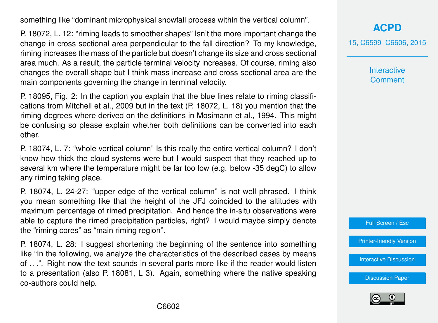something like "dominant microphysical snowfall process within the vertical column".

P. 18072, L. 12: "riming leads to smoother shapes" Isn't the more important change the change in cross sectional area perpendicular to the fall direction? To my knowledge, riming increases the mass of the particle but doesn't change its size and cross sectional area much. As a result, the particle terminal velocity increases. Of course, riming also changes the overall shape but I think mass increase and cross sectional area are the main components governing the change in terminal velocity.

P. 18095, Fig. 2: In the caption you explain that the blue lines relate to riming classifications from Mitchell et al., 2009 but in the text (P. 18072, L. 18) you mention that the riming degrees where derived on the definitions in Mosimann et al., 1994. This might be confusing so please explain whether both definitions can be converted into each other.

P. 18074, L. 7: "whole vertical column" Is this really the entire vertical column? I don't know how thick the cloud systems were but I would suspect that they reached up to several km where the temperature might be far too low (e.g. below -35 degC) to allow any riming taking place.

P. 18074, L. 24-27: "upper edge of the vertical column" is not well phrased. I think you mean something like that the height of the JFJ coincided to the altitudes with maximum percentage of rimed precipitation. And hence the in-situ observations were able to capture the rimed precipitation particles, right? I would maybe simply denote the "riming cores" as "main riming region".

P. 18074, L. 28: I suggest shortening the beginning of the sentence into something like "In the following, we analyze the characteristics of the described cases by means of . . .". Right now the text sounds in several parts more like if the reader would listen to a presentation (also P. 18081, L 3). Again, something where the native speaking co-authors could help.

**[ACPD](http://www.atmos-chem-phys-discuss.net)**

15, C6599–C6606, 2015

**Interactive Comment** 

Full Screen / Esc

[Printer-friendly Version](http://www.atmos-chem-phys-discuss.net/15/C6599/2015/acpd-15-C6599-2015-print.pdf)

[Interactive Discussion](http://www.atmos-chem-phys-discuss.net/15/18065/2015/acpd-15-18065-2015-discussion.html)

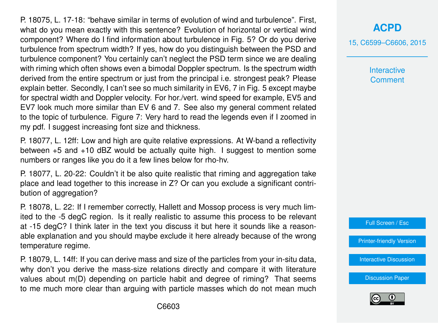P. 18075, L. 17-18: "behave similar in terms of evolution of wind and turbulence". First, what do you mean exactly with this sentence? Evolution of horizontal or vertical wind component? Where do I find information about turbulence in Fig. 5? Or do you derive turbulence from spectrum width? If yes, how do you distinguish between the PSD and turbulence component? You certainly can't neglect the PSD term since we are dealing with riming which often shows even a bimodal Doppler spectrum. Is the spectrum width derived from the entire spectrum or just from the principal i.e. strongest peak? Please explain better. Secondly, I can't see so much similarity in EV6, 7 in Fig. 5 except maybe for spectral width and Doppler velocity. For hor./vert. wind speed for example, EV5 and EV7 look much more similar than EV 6 and 7. See also my general comment related to the topic of turbulence. Figure 7: Very hard to read the legends even if I zoomed in my pdf. I suggest increasing font size and thickness.

P. 18077, L. 12ff: Low and high are quite relative expressions. At W-band a reflectivity between +5 and +10 dBZ would be actually quite high. I suggest to mention some numbers or ranges like you do it a few lines below for rho-hv.

P. 18077, L. 20-22: Couldn't it be also quite realistic that riming and aggregation take place and lead together to this increase in Z? Or can you exclude a significant contribution of aggregation?

P. 18078, L. 22: If I remember correctly, Hallett and Mossop process is very much limited to the -5 degC region. Is it really realistic to assume this process to be relevant at -15 degC? I think later in the text you discuss it but here it sounds like a reasonable explanation and you should maybe exclude it here already because of the wrong temperature regime.

P. 18079, L. 14ff: If you can derive mass and size of the particles from your in-situ data, why don't you derive the mass-size relations directly and compare it with literature values about m(D) depending on particle habit and degree of riming? That seems to me much more clear than arguing with particle masses which do not mean much

# **[ACPD](http://www.atmos-chem-phys-discuss.net)**

15, C6599–C6606, 2015

**Interactive Comment** 



[Printer-friendly Version](http://www.atmos-chem-phys-discuss.net/15/C6599/2015/acpd-15-C6599-2015-print.pdf)

[Interactive Discussion](http://www.atmos-chem-phys-discuss.net/15/18065/2015/acpd-15-18065-2015-discussion.html)

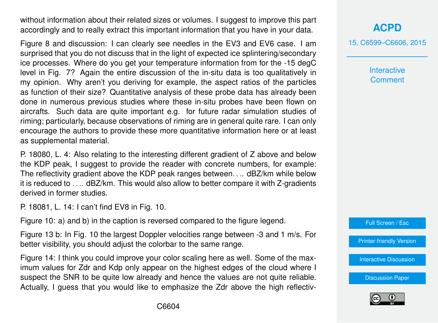without information about their related sizes or volumes. I suggest to improve this part accordingly and to really extract this important information that you have in your data.

Figure 8 and discussion: I can clearly see needles in the EV3 and EV6 case. I am surprised that you do not discuss that in the light of expected ice splintering/secondary ice processes. Where do you get your temperature information from for the -15 degC level in Fig. 7? Again the entire discussion of the in-situ data is too qualitatively in my opinion. Why aren't you deriving for example, the aspect ratios of the particles as function of their size? Quantitative analysis of these probe data has already been done in numerous previous studies where these in-situ probes have been flown on aircrafts. Such data are quite important e.g. for future radar simulation studies of riming; particularly, because observations of riming are in general quite rare. I can only encourage the authors to provide these more quantitative information here or at least as supplemental material.

P. 18080, L. 4: Also relating to the interesting different gradient of Z above and below the KDP peak, I suggest to provide the reader with concrete numbers, for example: The reflectivity gradient above the KDP peak ranges between. . .. dBZ/km while below it is reduced to . . .. dBZ/km. This would also allow to better compare it with Z-gradients derived in former studies.

P. 18081, L. 14: I can't find EV8 in Fig. 10.

Figure 10: a) and b) in the caption is reversed compared to the figure legend.

Figure 13 b: In Fig. 10 the largest Doppler velocities range between -3 and 1 m/s. For better visibility, you should adjust the colorbar to the same range.

Figure 14: I think you could improve your color scaling here as well. Some of the maximum values for Zdr and Kdp only appear on the highest edges of the cloud where I suspect the SNR to be quite low already and hence the values are not quite reliable. Actually, I guess that you would like to emphasize the Zdr above the high reflectiv-

## **[ACPD](http://www.atmos-chem-phys-discuss.net)**

15, C6599–C6606, 2015

**Interactive Comment** 

Full Screen / Esc

[Printer-friendly Version](http://www.atmos-chem-phys-discuss.net/15/C6599/2015/acpd-15-C6599-2015-print.pdf)

[Interactive Discussion](http://www.atmos-chem-phys-discuss.net/15/18065/2015/acpd-15-18065-2015-discussion.html)

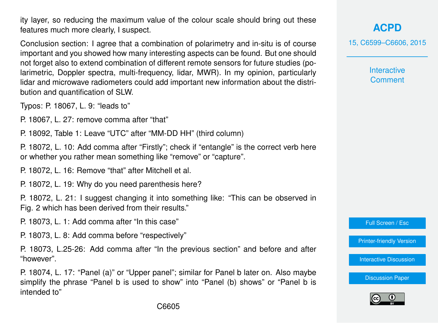ity layer, so reducing the maximum value of the colour scale should bring out these features much more clearly, I suspect.

Conclusion section: I agree that a combination of polarimetry and in-situ is of course important and you showed how many interesting aspects can be found. But one should not forget also to extend combination of different remote sensors for future studies (polarimetric, Doppler spectra, multi-frequency, lidar, MWR). In my opinion, particularly lidar and microwave radiometers could add important new information about the distribution and quantification of SLW.

Typos: P. 18067, L. 9: "leads to"

P. 18067, L. 27: remove comma after "that"

P. 18092, Table 1: Leave "UTC" after "MM-DD HH" (third column)

P. 18072, L. 10: Add comma after "Firstly"; check if "entangle" is the correct verb here or whether you rather mean something like "remove" or "capture".

P. 18072, L. 16: Remove "that" after Mitchell et al.

P. 18072, L. 19: Why do you need parenthesis here?

P. 18072, L. 21: I suggest changing it into something like: "This can be observed in Fig. 2 which has been derived from their results."

P. 18073, L. 1: Add comma after "In this case"

P. 18073, L. 8: Add comma before "respectively"

P. 18073, L.25-26: Add comma after "In the previous section" and before and after "however".

P. 18074, L. 17: "Panel (a)" or "Upper panel"; similar for Panel b later on. Also maybe simplify the phrase "Panel b is used to show" into "Panel (b) shows" or "Panel b is intended to"

**[ACPD](http://www.atmos-chem-phys-discuss.net)**

15, C6599–C6606, 2015

**Interactive Comment** 

Full Screen / Esc

[Printer-friendly Version](http://www.atmos-chem-phys-discuss.net/15/C6599/2015/acpd-15-C6599-2015-print.pdf)

[Interactive Discussion](http://www.atmos-chem-phys-discuss.net/15/18065/2015/acpd-15-18065-2015-discussion.html)